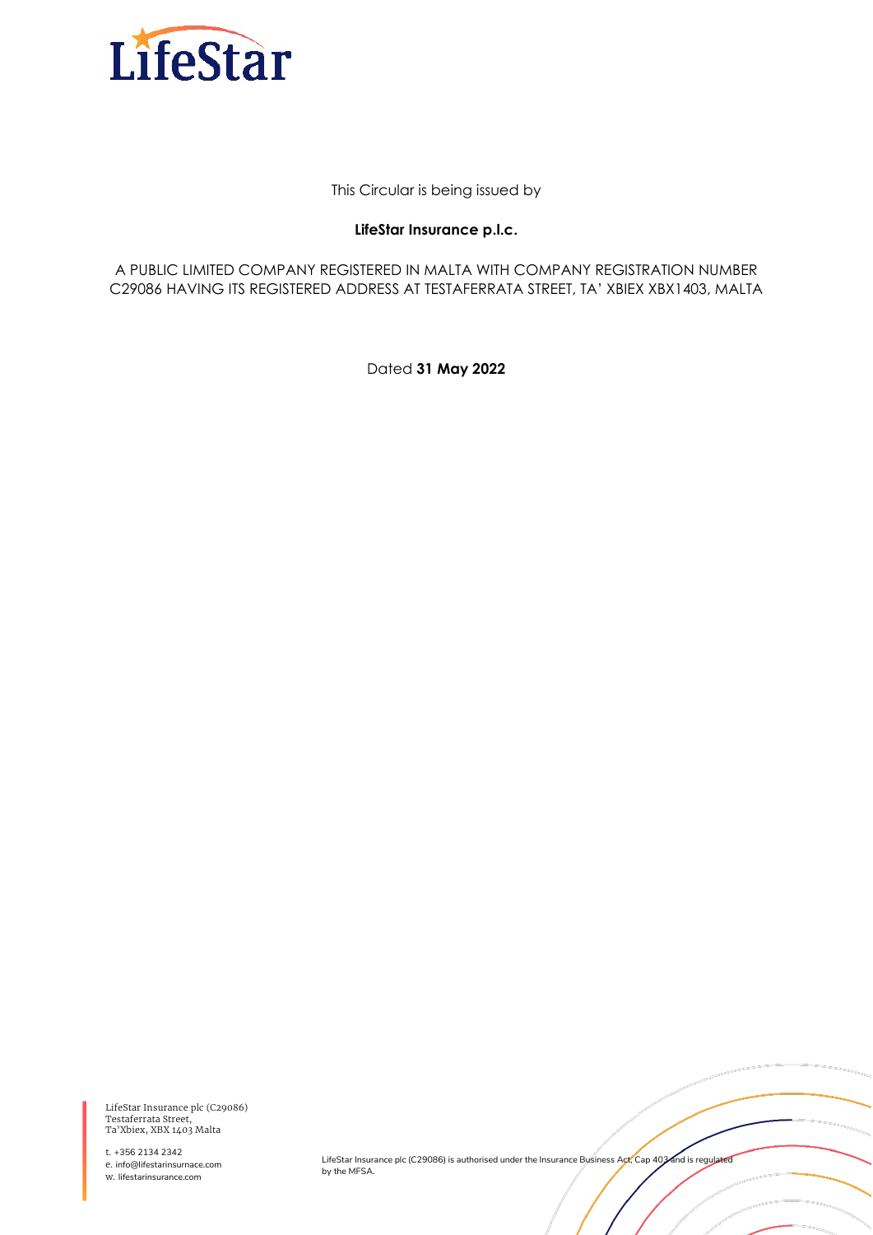

This Circular is being issued by

#### **LifeStar Insurance p.l.c.**

A PUBLIC LIMITED COMPANY REGISTERED IN MALTA WITH COMPANY REGISTRATION NUMBER C29086 HAVING ITS REGISTERED ADDRESS AT TESTAFERRATA STREET, TA' XBIEX XBX1403, MALTA

Dated **31 May 2022**

LifeStar Insurance plc (C29086) Testaferrata Street, Ta'Xbiex, XBX 1403 Malta

t. +356 2134 2342 e. info@lifestarinsurnace.com w. lifestarinsurance.com

LifeStar Insurance plc (C29086) is authorised under the Insurance Business Act, Cap 403 and is regulated by the MFSA.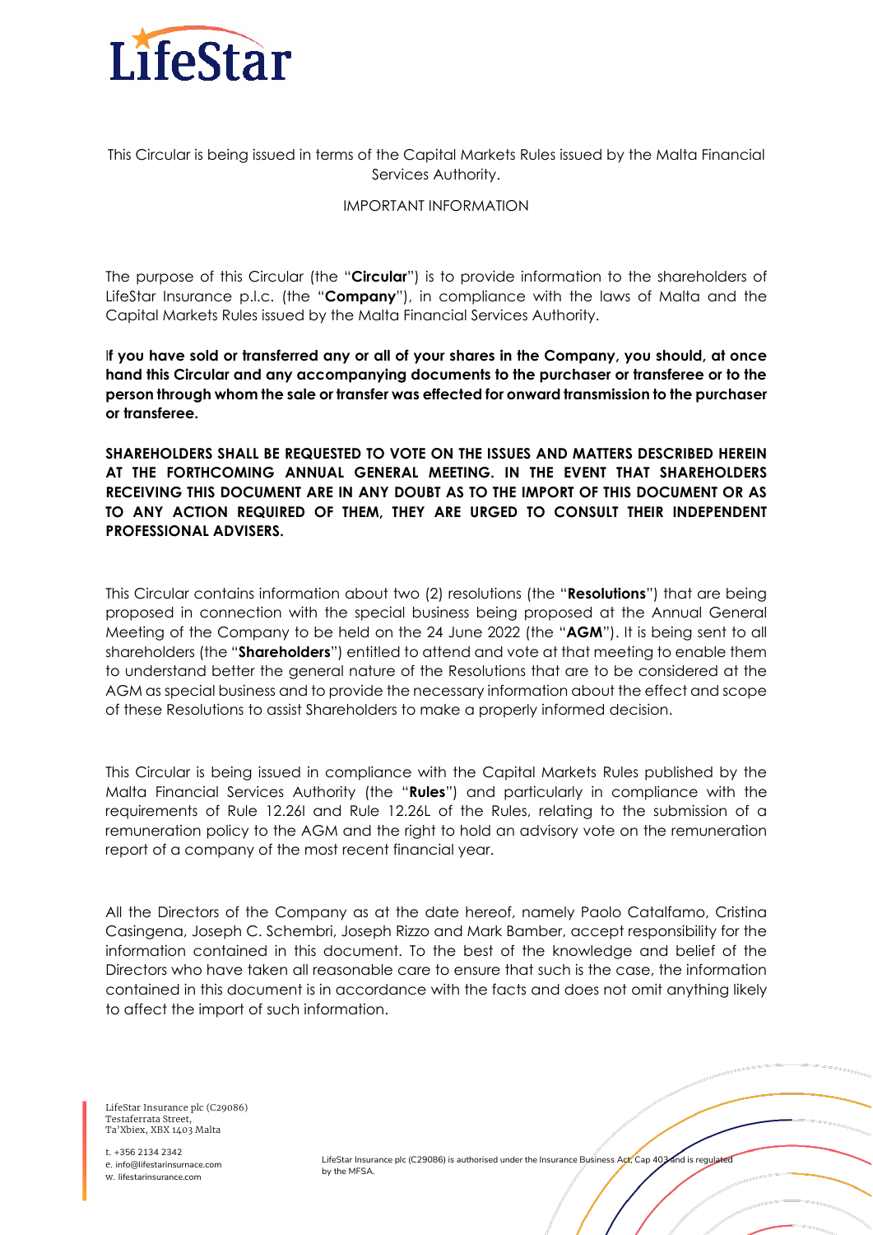

This Circular is being issued in terms of the Capital Markets Rules issued by the Malta Financial Services Authority.

#### IMPORTANT INFORMATION

The purpose of this Circular (the "**Circular**") is to provide information to the shareholders of LifeStar Insurance p.l.c. (the "**Company**"), in compliance with the laws of Malta and the Capital Markets Rules issued by the Malta Financial Services Authority.

I**f you have sold or transferred any or all of your shares in the Company, you should, at once hand this Circular and any accompanying documents to the purchaser or transferee or to the person through whom the sale or transfer was effected for onward transmission to the purchaser or transferee.**

**SHAREHOLDERS SHALL BE REQUESTED TO VOTE ON THE ISSUES AND MATTERS DESCRIBED HEREIN AT THE FORTHCOMING ANNUAL GENERAL MEETING. IN THE EVENT THAT SHAREHOLDERS RECEIVING THIS DOCUMENT ARE IN ANY DOUBT AS TO THE IMPORT OF THIS DOCUMENT OR AS TO ANY ACTION REQUIRED OF THEM, THEY ARE URGED TO CONSULT THEIR INDEPENDENT PROFESSIONAL ADVISERS.**

This Circular contains information about two (2) resolutions (the "**Resolutions**") that are being proposed in connection with the special business being proposed at the Annual General Meeting of the Company to be held on the 24 June 2022 (the "AGM"). It is being sent to all shareholders (the "**Shareholders**") entitled to attend and vote at that meeting to enable them to understand better the general nature of the Resolutions that are to be considered at the AGM as special business and to provide the necessary information about the effect and scope of these Resolutions to assist Shareholders to make a properly informed decision.

This Circular is being issued in compliance with the Capital Markets Rules published by the Malta Financial Services Authority (the "**Rules**") and particularly in compliance with the requirements of Rule 12.26I and Rule 12.26L of the Rules, relating to the submission of a remuneration policy to the AGM and the right to hold an advisory vote on the remuneration report of a company of the most recent financial year.

All the Directors of the Company as at the date hereof, namely Paolo Catalfamo, Cristina Casingena, Joseph C. Schembri, Joseph Rizzo and Mark Bamber, accept responsibility for the information contained in this document. To the best of the knowledge and belief of the Directors who have taken all reasonable care to ensure that such is the case, the information contained in this document is in accordance with the facts and does not omit anything likely to affect the import of such information.

LifeStar Insurance plc (C29086) Testaferrata Street, Ta'Xbiex, XBX 1403 Malta

t. +356 2134 2342 e. info@lifestarinsurnace.com w. lifestarinsurance.com

LifeStar Insurance plc (C29086) is authorised under the Insurance Business Act, Cap 403 and is regula by the MFSA.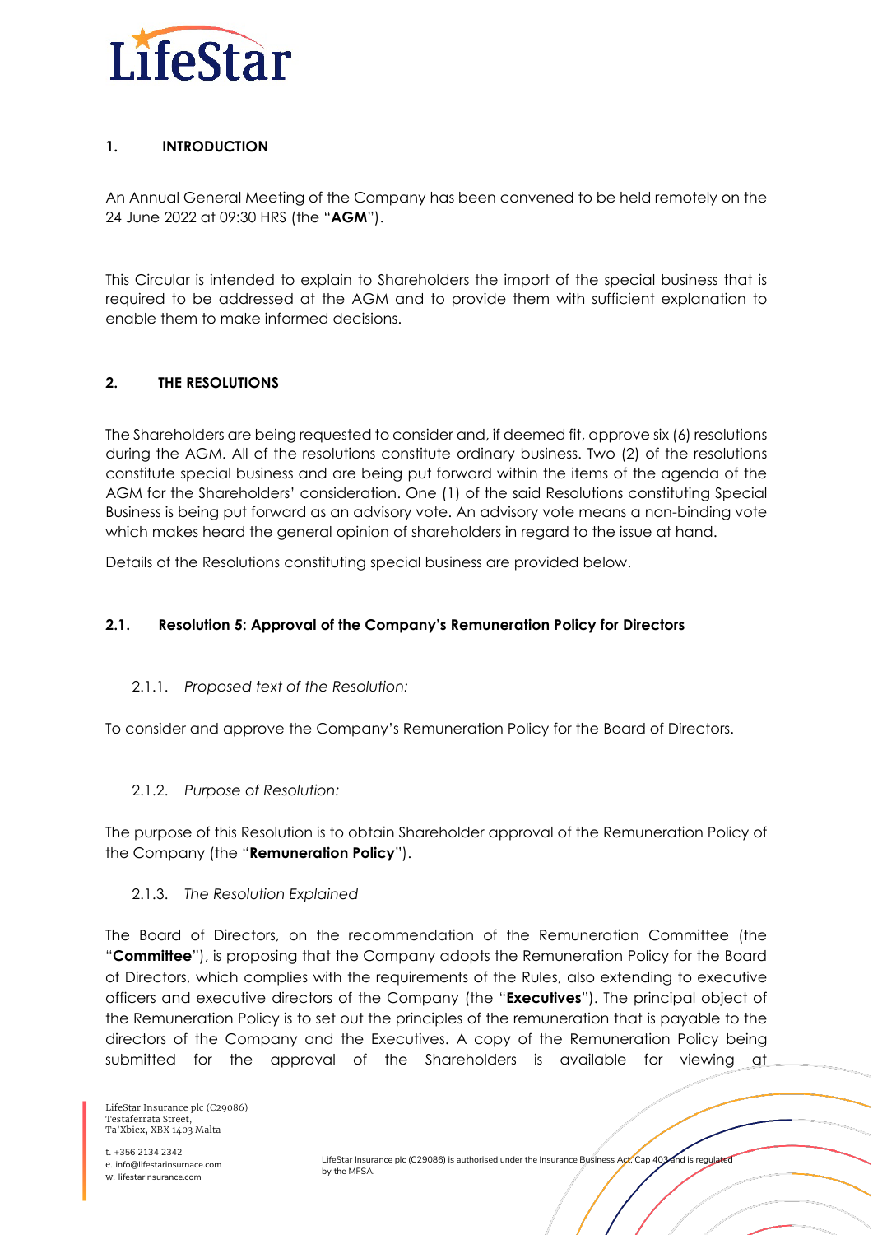

# **1. INTRODUCTION**

An Annual General Meeting of the Company has been convened to be held remotely on the 24 June 2022 at 09:30 HRS (the "**AGM**").

This Circular is intended to explain to Shareholders the import of the special business that is required to be addressed at the AGM and to provide them with sufficient explanation to enable them to make informed decisions.

# **2. THE RESOLUTIONS**

The Shareholders are being requested to consider and, if deemed fit, approve six (6) resolutions during the AGM. All of the resolutions constitute ordinary business. Two (2) of the resolutions constitute special business and are being put forward within the items of the agenda of the AGM for the Shareholders' consideration. One (1) of the said Resolutions constituting Special Business is being put forward as an advisory vote. An advisory vote means a non-binding vote which makes heard the general opinion of shareholders in regard to the issue at hand.

Details of the Resolutions constituting special business are provided below.

## **2.1. Resolution 5: Approval of the Company's Remuneration Policy for Directors**

## 2.1.1. *Proposed text of the Resolution:*

To consider and approve the Company's Remuneration Policy for the Board of Directors.

## 2.1.2. *Purpose of Resolution:*

The purpose of this Resolution is to obtain Shareholder approval of the Remuneration Policy of the Company (the "**Remuneration Policy**").

## 2.1.3. *The Resolution Explained*

The Board of Directors, on the recommendation of the Remuneration Committee (the "**Committee**"), is proposing that the Company adopts the Remuneration Policy for the Board of Directors, which complies with the requirements of the Rules, also extending to executive officers and executive directors of the Company (the "**Executives**"). The principal object of the Remuneration Policy is to set out the principles of the remuneration that is payable to the directors of the Company and the Executives. A copy of the Remuneration Policy being submitted for the approval of the Shareholders is available for viewing at

LifeStar Insurance plc (C29086) Testaferrata Street, Ta'Xbiex, XBX 1403 Malta

t. +356 2134 2342 e. info@lifestarinsurnace.com w. lifestarinsurance.com

LifeStar Insurance plc (C29086) is authorised under the Insurance Business Act, Cap 403 and is regulated by the MFSA.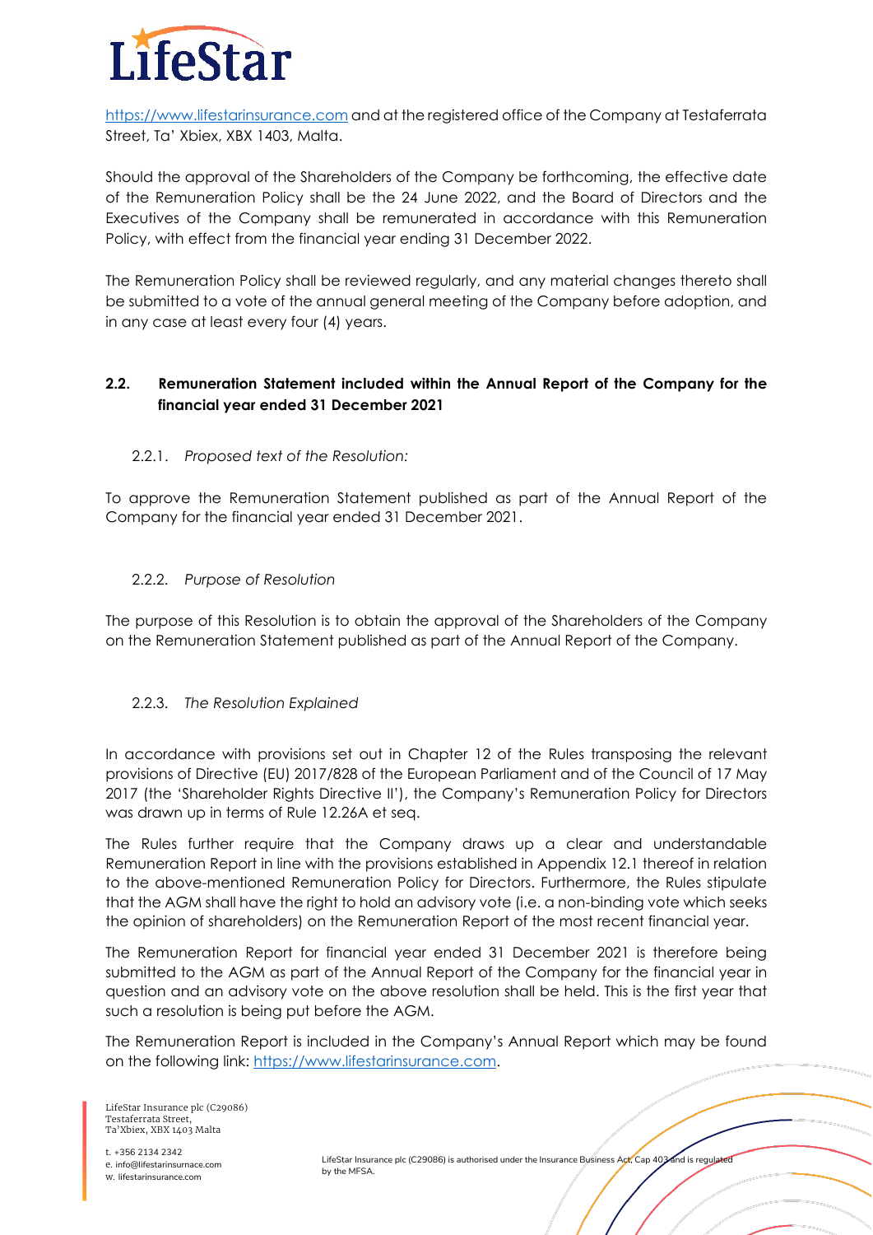

[https://www.lifestarinsurance.com](https://www.lifestarholding.com/) and at the registered office of the Company at Testaferrata Street, Ta' Xbiex, XBX 1403, Malta.

Should the approval of the Shareholders of the Company be forthcoming, the effective date of the Remuneration Policy shall be the 24 June 2022, and the Board of Directors and the Executives of the Company shall be remunerated in accordance with this Remuneration Policy, with effect from the financial year ending 31 December 2022.

The Remuneration Policy shall be reviewed regularly, and any material changes thereto shall be submitted to a vote of the annual general meeting of the Company before adoption, and in any case at least every four (4) years.

## **2.2. Remuneration Statement included within the Annual Report of the Company for the financial year ended 31 December 2021**

## 2.2.1. *Proposed text of the Resolution:*

To approve the Remuneration Statement published as part of the Annual Report of the Company for the financial year ended 31 December 2021.

#### 2.2.2. *Purpose of Resolution*

The purpose of this Resolution is to obtain the approval of the Shareholders of the Company on the Remuneration Statement published as part of the Annual Report of the Company.

## 2.2.3. *The Resolution Explained*

In accordance with provisions set out in Chapter 12 of the Rules transposing the relevant provisions of Directive (EU) 2017/828 of the European Parliament and of the Council of 17 May 2017 (the 'Shareholder Rights Directive II'), the Company's Remuneration Policy for Directors was drawn up in terms of Rule 12.26A et seq.

The Rules further require that the Company draws up a clear and understandable Remuneration Report in line with the provisions established in Appendix 12.1 thereof in relation to the above-mentioned Remuneration Policy for Directors. Furthermore, the Rules stipulate that the AGM shall have the right to hold an advisory vote (i.e. a non-binding vote which seeks the opinion of shareholders) on the Remuneration Report of the most recent financial year.

The Remuneration Report for financial year ended 31 December 2021 is therefore being submitted to the AGM as part of the Annual Report of the Company for the financial year in question and an advisory vote on the above resolution shall be held. This is the first year that such a resolution is being put before the AGM.

The Remuneration Report is included in the Company's Annual Report which may be found on the following link: [https://www.lifestarinsurance.com.](https://www.lifestarinsurance.com/)

LifeStar Insurance plc (C29086) Testaferrata Street, Ta'Xbiex, XBX 1403 Malta

t. +356 2134 2342 e. info@lifestarinsurnace.com w. lifestarinsurance.com

LifeStar Insurance plc (C29086) is authorised under the Insurance Business Act, Cap 403 and is regula by the MFSA.